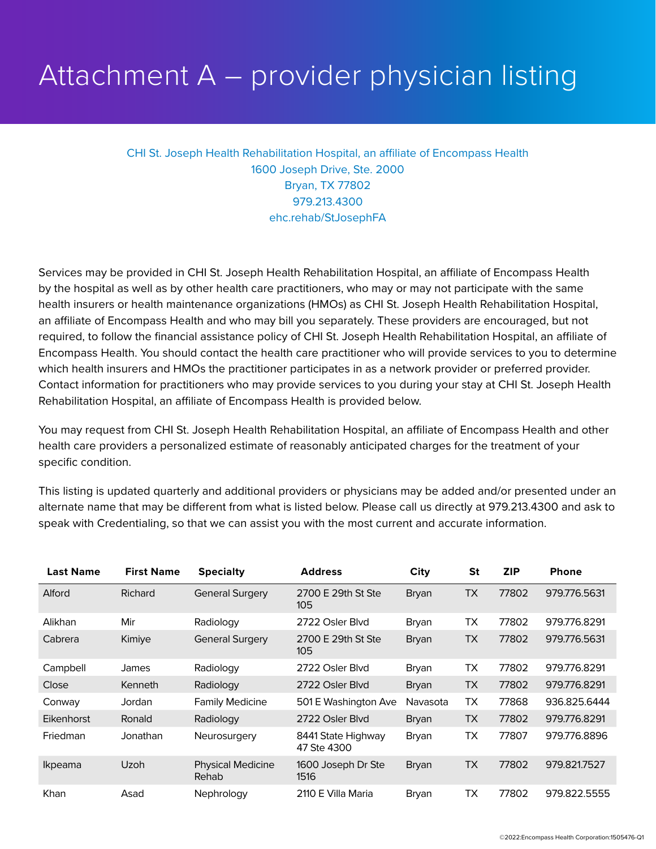## Attachment A – provider physician listing

CHI St. Joseph Health Rehabilitation Hospital, an affiliate of Encompass Health 1600 Joseph Drive, Ste. 2000 Bryan, TX 77802 979.213.4300 ehc.rehab/StJosephFA

Services may be provided in CHI St. Joseph Health Rehabilitation Hospital, an affiliate of Encompass Health by the hospital as well as by other health care practitioners, who may or may not participate with the same health insurers or health maintenance organizations (HMOs) as CHI St. Joseph Health Rehabilitation Hospital, an affiliate of Encompass Health and who may bill you separately. These providers are encouraged, but not required, to follow the financial assistance policy of CHI St. Joseph Health Rehabilitation Hospital, an affiliate of Encompass Health. You should contact the health care practitioner who will provide services to you to determine which health insurers and HMOs the practitioner participates in as a network provider or preferred provider. Contact information for practitioners who may provide services to you during your stay at CHI St. Joseph Health Rehabilitation Hospital, an affiliate of Encompass Health is provided below.

You may request from CHI St. Joseph Health Rehabilitation Hospital, an affiliate of Encompass Health and other health care providers a personalized estimate of reasonably anticipated charges for the treatment of your specific condition.

This listing is updated quarterly and additional providers or physicians may be added and/or presented under an alternate name that may be different from what is listed below. Please call us directly at 979.213.4300 and ask to speak with Credentialing, so that we can assist you with the most current and accurate information.

| <b>Last Name</b> | <b>First Name</b> | <b>Specialty</b>                         | <b>Address</b>                    | City         | <b>St</b> | <b>ZIP</b> | <b>Phone</b> |
|------------------|-------------------|------------------------------------------|-----------------------------------|--------------|-----------|------------|--------------|
| Alford           | Richard           | <b>General Surgery</b>                   | 2700 E 29th St Ste<br>105         | <b>Bryan</b> | <b>TX</b> | 77802      | 979.776.5631 |
| Alikhan          | Mir               | Radiology                                | 2722 Osler Blvd                   | Bryan        | <b>TX</b> | 77802      | 979.776.8291 |
| Cabrera          | Kimiye            | <b>General Surgery</b>                   | 2700 E 29th St Ste<br>105         | <b>Bryan</b> | <b>TX</b> | 77802      | 979.776.5631 |
| Campbell         | James             | Radiology                                | 2722 Osler Blvd                   | Bryan        | <b>TX</b> | 77802      | 979.776.8291 |
| Close            | Kenneth           | Radiology                                | 2722 Osler Blvd                   | <b>Bryan</b> | <b>TX</b> | 77802      | 979.776.8291 |
| Conway           | Jordan            | <b>Family Medicine</b>                   | 501 E Washington Ave              | Navasota     | TX        | 77868      | 936.825.6444 |
| Eikenhorst       | Ronald            | Radiology                                | 2722 Osler Blvd                   | <b>Bryan</b> | <b>TX</b> | 77802      | 979.776.8291 |
| <b>Friedman</b>  | Jonathan          | Neurosurgery                             | 8441 State Highway<br>47 Ste 4300 | Bryan        | <b>TX</b> | 77807      | 979.776.8896 |
| <i>Ikpeama</i>   | Uzoh              | <b>Physical Medicine</b><br><b>Rehab</b> | 1600 Joseph Dr Ste<br>1516        | <b>Bryan</b> | <b>TX</b> | 77802      | 979.821.7527 |
| Khan             | Asad              | Nephrology                               | 2110 E Villa Maria                | Bryan        | <b>TX</b> | 77802      | 979.822.5555 |